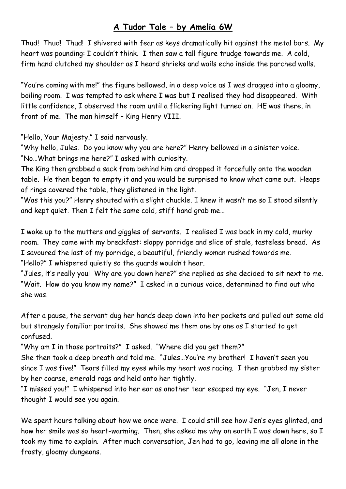## **A Tudor Tale – by Amelia 6W**

Thud! Thud! Thud! I shivered with fear as keys dramatically hit against the metal bars. My heart was pounding: I couldn't think. I then saw a tall figure trudge towards me. A cold, firm hand clutched my shoulder as I heard shrieks and wails echo inside the parched walls.

"You're coming with me!" the figure bellowed, in a deep voice as I was dragged into a gloomy, boiling room. I was tempted to ask where I was but I realised they had disappeared. With little confidence, I observed the room until a flickering light turned on. HE was there, in front of me. The man himself – King Henry VIII.

"Hello, Your Majesty." I said nervously.

"Why hello, Jules. Do you know why you are here?" Henry bellowed in a sinister voice. "No…What brings me here?" I asked with curiosity.

The King then grabbed a sack from behind him and dropped it forcefully onto the wooden table. He then began to empty it and you would be surprised to know what came out. Heaps of rings covered the table, they glistened in the light.

"Was this you?" Henry shouted with a slight chuckle. I knew it wasn't me so I stood silently and kept quiet. Then I felt the same cold, stiff hand grab me…

I woke up to the mutters and giggles of servants. I realised I was back in my cold, murky room. They came with my breakfast: sloppy porridge and slice of stale, tasteless bread. As I savoured the last of my porridge, a beautiful, friendly woman rushed towards me. "Hello?" I whispered quietly so the guards wouldn't hear.

"Jules, it's really you! Why are you down here?" she replied as she decided to sit next to me. "Wait. How do you know my name?" I asked in a curious voice, determined to find out who she was.

After a pause, the servant dug her hands deep down into her pockets and pulled out some old but strangely familiar portraits. She showed me them one by one as I started to get confused.

"Why am I in those portraits?" I asked. "Where did you get them?"

She then took a deep breath and told me. "Jules…You're my brother! I haven't seen you since I was five!" Tears filled my eyes while my heart was racing. I then grabbed my sister by her coarse, emerald rags and held onto her tightly.

"I missed you!" I whispered into her ear as another tear escaped my eye. "Jen, I never thought I would see you again.

We spent hours talking about how we once were. I could still see how Jen's eyes glinted, and how her smile was so heart-warming. Then, she asked me why on earth I was down here, so I took my time to explain. After much conversation, Jen had to go, leaving me all alone in the frosty, gloomy dungeons.